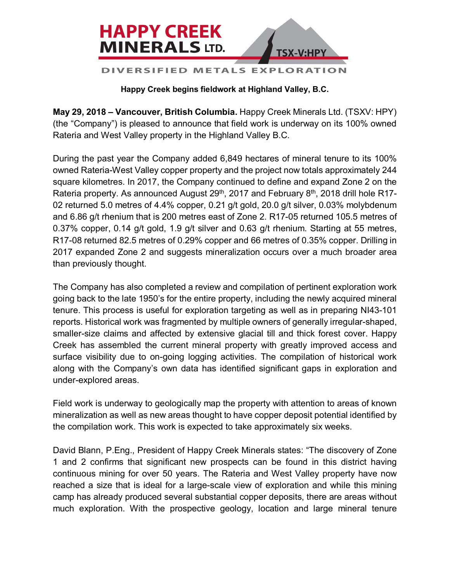

## **Happy Creek begins fieldwork at Highland Valley, B.C.**

**May 29, 2018 – Vancouver, British Columbia.** Happy Creek Minerals Ltd. (TSXV: HPY) (the "Company") is pleased to announce that field work is underway on its 100% owned Rateria and West Valley property in the Highland Valley B.C.

During the past year the Company added 6,849 hectares of mineral tenure to its 100% owned Rateria-West Valley copper property and the project now totals approximately 244 square kilometres. In 2017, the Company continued to define and expand Zone 2 on the Rateria property. As announced August 29<sup>th</sup>, 2017 and February 8<sup>th</sup>, 2018 drill hole R17-02 returned 5.0 metres of 4.4% copper, 0.21 g/t gold, 20.0 g/t silver, 0.03% molybdenum and 6.86 g/t rhenium that is 200 metres east of Zone 2. R17-05 returned 105.5 metres of 0.37% copper, 0.14 g/t gold, 1.9 g/t silver and 0.63 g/t rhenium. Starting at 55 metres, R17-08 returned 82.5 metres of 0.29% copper and 66 metres of 0.35% copper. Drilling in 2017 expanded Zone 2 and suggests mineralization occurs over a much broader area than previously thought.

The Company has also completed a review and compilation of pertinent exploration work going back to the late 1950's for the entire property, including the newly acquired mineral tenure. This process is useful for exploration targeting as well as in preparing NI43-101 reports. Historical work was fragmented by multiple owners of generally irregular-shaped, smaller-size claims and affected by extensive glacial till and thick forest cover. Happy Creek has assembled the current mineral property with greatly improved access and surface visibility due to on-going logging activities. The compilation of historical work along with the Company's own data has identified significant gaps in exploration and under-explored areas.

Field work is underway to geologically map the property with attention to areas of known mineralization as well as new areas thought to have copper deposit potential identified by the compilation work. This work is expected to take approximately six weeks.

David Blann, P.Eng., President of Happy Creek Minerals states: "The discovery of Zone 1 and 2 confirms that significant new prospects can be found in this district having continuous mining for over 50 years. The Rateria and West Valley property have now reached a size that is ideal for a large-scale view of exploration and while this mining camp has already produced several substantial copper deposits, there are areas without much exploration. With the prospective geology, location and large mineral tenure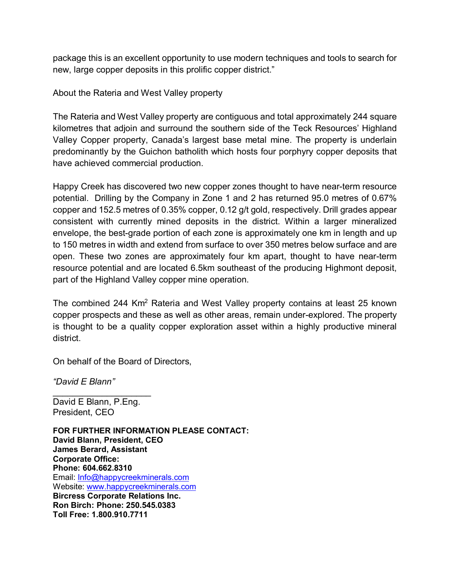package this is an excellent opportunity to use modern techniques and tools to search for new, large copper deposits in this prolific copper district."

About the Rateria and West Valley property

The Rateria and West Valley property are contiguous and total approximately 244 square kilometres that adjoin and surround the southern side of the Teck Resources' Highland Valley Copper property, Canada's largest base metal mine. The property is underlain predominantly by the Guichon batholith which hosts four porphyry copper deposits that have achieved commercial production.

Happy Creek has discovered two new copper zones thought to have near-term resource potential. Drilling by the Company in Zone 1 and 2 has returned 95.0 metres of 0.67% copper and 152.5 metres of 0.35% copper, 0.12 g/t gold, respectively. Drill grades appear consistent with currently mined deposits in the district. Within a larger mineralized envelope, the best-grade portion of each zone is approximately one km in length and up to 150 metres in width and extend from surface to over 350 metres below surface and are open. These two zones are approximately four km apart, thought to have near-term resource potential and are located 6.5km southeast of the producing Highmont deposit, part of the Highland Valley copper mine operation.

The combined 244 Km<sup>2</sup> Rateria and West Valley property contains at least 25 known copper prospects and these as well as other areas, remain under-explored. The property is thought to be a quality copper exploration asset within a highly productive mineral district.

On behalf of the Board of Directors,

*"David E Blann"*

\_\_\_\_\_\_\_\_\_\_\_\_\_\_\_\_\_\_\_\_ David E Blann, P.Eng. President, CEO

**FOR FURTHER INFORMATION PLEASE CONTACT: David Blann, President, CEO James Berard, Assistant Corporate Office: Phone: 604.662.8310** Email: Info@happycreekminerals.com Website: www.happycreekminerals.com **Bircress Corporate Relations Inc. Ron Birch: Phone: 250.545.0383 Toll Free: 1.800.910.7711**